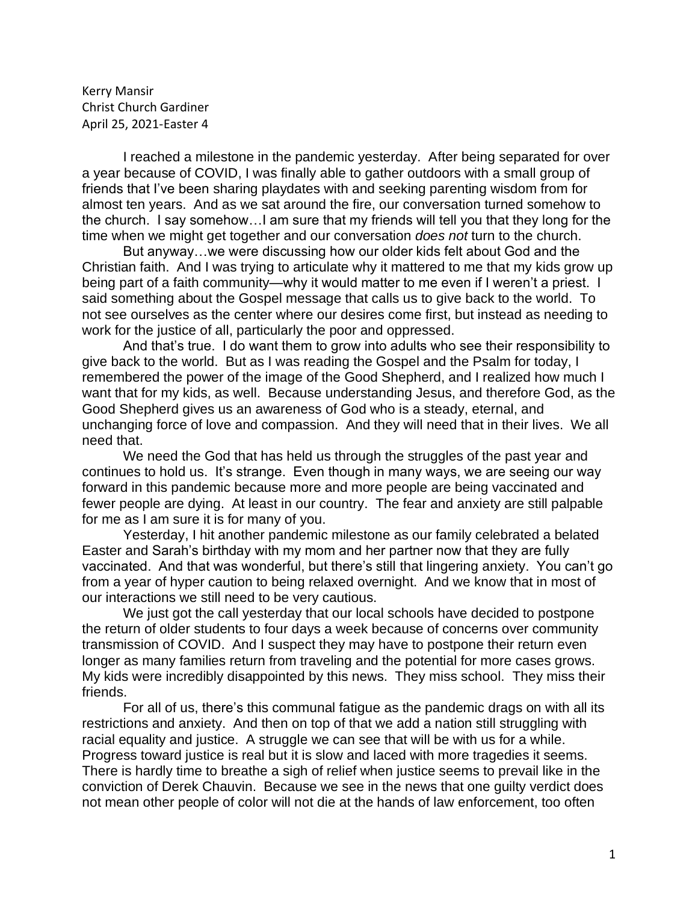Kerry Mansir Christ Church Gardiner April 25, 2021-Easter 4

I reached a milestone in the pandemic yesterday. After being separated for over a year because of COVID, I was finally able to gather outdoors with a small group of friends that I've been sharing playdates with and seeking parenting wisdom from for almost ten years. And as we sat around the fire, our conversation turned somehow to the church. I say somehow…I am sure that my friends will tell you that they long for the time when we might get together and our conversation *does not* turn to the church.

But anyway…we were discussing how our older kids felt about God and the Christian faith. And I was trying to articulate why it mattered to me that my kids grow up being part of a faith community—why it would matter to me even if I weren't a priest. I said something about the Gospel message that calls us to give back to the world. To not see ourselves as the center where our desires come first, but instead as needing to work for the justice of all, particularly the poor and oppressed.

And that's true. I do want them to grow into adults who see their responsibility to give back to the world. But as I was reading the Gospel and the Psalm for today, I remembered the power of the image of the Good Shepherd, and I realized how much I want that for my kids, as well. Because understanding Jesus, and therefore God, as the Good Shepherd gives us an awareness of God who is a steady, eternal, and unchanging force of love and compassion. And they will need that in their lives. We all need that.

We need the God that has held us through the struggles of the past year and continues to hold us. It's strange. Even though in many ways, we are seeing our way forward in this pandemic because more and more people are being vaccinated and fewer people are dying. At least in our country. The fear and anxiety are still palpable for me as I am sure it is for many of you.

Yesterday, I hit another pandemic milestone as our family celebrated a belated Easter and Sarah's birthday with my mom and her partner now that they are fully vaccinated. And that was wonderful, but there's still that lingering anxiety. You can't go from a year of hyper caution to being relaxed overnight. And we know that in most of our interactions we still need to be very cautious.

We just got the call yesterday that our local schools have decided to postpone the return of older students to four days a week because of concerns over community transmission of COVID. And I suspect they may have to postpone their return even longer as many families return from traveling and the potential for more cases grows. My kids were incredibly disappointed by this news. They miss school. They miss their friends.

For all of us, there's this communal fatigue as the pandemic drags on with all its restrictions and anxiety. And then on top of that we add a nation still struggling with racial equality and justice. A struggle we can see that will be with us for a while. Progress toward justice is real but it is slow and laced with more tragedies it seems. There is hardly time to breathe a sigh of relief when justice seems to prevail like in the conviction of Derek Chauvin. Because we see in the news that one guilty verdict does not mean other people of color will not die at the hands of law enforcement, too often